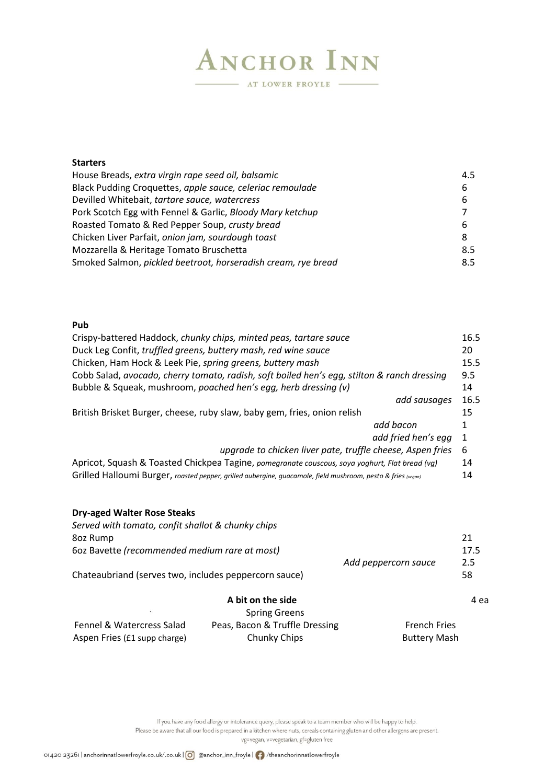# **ANCHOR INN** AT LOWER FROYLE -

### **Starters** House Breads, *extra virgin rape seed oil, balsamic* 4.5 Black Pudding Croquettes, *apple sauce, celeriac remoulade* 6 Devilled Whitebait, *tartare sauce, watercress* 6 Pork Scotch Egg with Fennel & Garlic, *Bloody Mary ketchup* 7 Roasted Tomato & Red Pepper Soup, *crusty bread* 6 Chicken Liver Parfait, *onion jam, sourdough toast* 8 Mozzarella & Heritage Tomato Bruschetta 8.5 Smoked Salmon, *pickled beetroot, horseradish cream, rye bread* 8.5

#### **Pub**

| Crispy-battered Haddock, chunky chips, minted peas, tartare sauce                                            | 16.5 |
|--------------------------------------------------------------------------------------------------------------|------|
| Duck Leg Confit, truffled greens, buttery mash, red wine sauce                                               | 20   |
| Chicken, Ham Hock & Leek Pie, spring greens, buttery mash                                                    | 15.5 |
| Cobb Salad, avocado, cherry tomato, radish, soft boiled hen's egg, stilton & ranch dressing                  | 9.5  |
| Bubble & Squeak, mushroom, poached hen's egg, herb dressing (v)                                              | 14   |
| add sausages                                                                                                 | 16.5 |
| British Brisket Burger, cheese, ruby slaw, baby gem, fries, onion relish                                     |      |
| add bacon                                                                                                    | 1    |
| add fried hen's egg                                                                                          | -1   |
| upgrade to chicken liver pate, truffle cheese, Aspen fries                                                   | 6    |
| Apricot, Squash & Toasted Chickpea Tagine, pomegranate couscous, soya yoghurt, Flat bread (vg)               | 14   |
| Grilled Halloumi Burger, roasted pepper, grilled aubergine, guacamole, field mushroom, pesto & fries (vegan) | 14   |

#### **Dry-aged Walter Rose Steaks**

| Served with tomato, confit shallot & chunky chips     |                                |                      |      |
|-------------------------------------------------------|--------------------------------|----------------------|------|
| 8oz Rump                                              |                                |                      | 21   |
| 602 Bavette (recommended medium rare at most)         |                                |                      | 17.5 |
|                                                       |                                | Add peppercorn sauce | 2.5  |
| Chateaubriand (serves two, includes peppercorn sauce) |                                |                      | 58   |
|                                                       | A bit on the side              |                      | 4 ea |
| $\bullet$                                             | <b>Spring Greens</b>           |                      |      |
| <b>Fennel &amp; Watercress Salad</b>                  | Peas, Bacon & Truffle Dressing | <b>French Fries</b>  |      |
| Aspen Fries (£1 supp charge)                          | Chunky Chips                   | <b>Buttery Mash</b>  |      |

If you have any food allergy or intolerance query, please speak to a team member who will be happy to help. Please be aware that all our food is prepared in a kitchen where nuts, cereals containing gluten and other allergens are present. vg=vegan, v=vegetarian, gf=gluten free